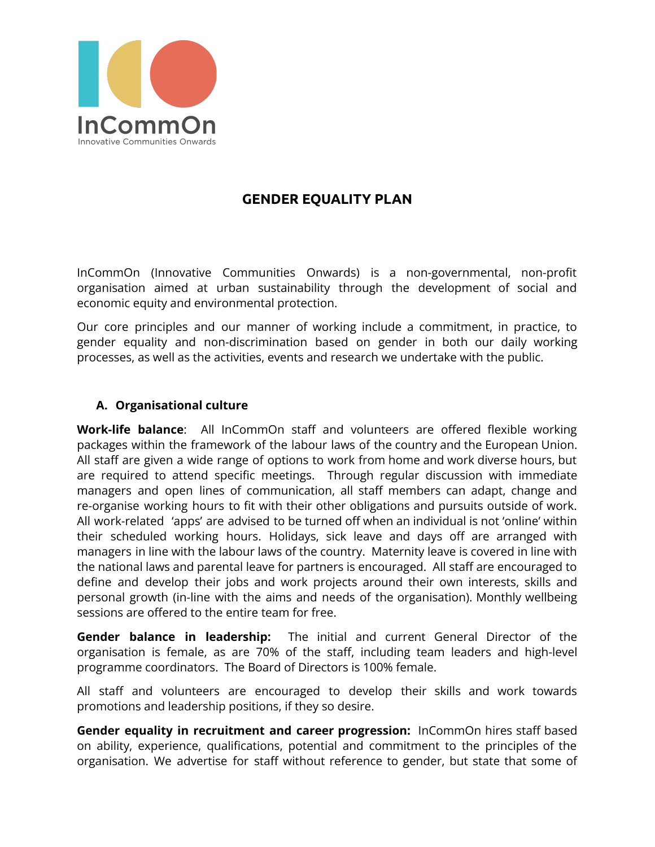

# **GENDER EQUALITY PLAN**

InCommOn (Innovative Communities Onwards) is a non-governmental, non-profit organisation aimed at urban sustainability through the development of social and economic equity and environmental protection.

Our core principles and our manner of working include a commitment, in practice, to gender equality and non-discrimination based on gender in both our daily working processes, as well as the activities, events and research we undertake with the public.

### **A. Organisational culture**

**Work-life balance**: All InCommOn staff and volunteers are offered flexible working packages within the framework of the labour laws of the country and the European Union. All staff are given a wide range of options to work from home and work diverse hours, but are required to attend specific meetings. Through regular discussion with immediate managers and open lines of communication, all staff members can adapt, change and re-organise working hours to fit with their other obligations and pursuits outside of work. All work-related 'apps' are advised to be turned off when an individual is not 'online' within their scheduled working hours. Holidays, sick leave and days off are arranged with managers in line with the labour laws of the country. Maternity leave is covered in line with the national laws and parental leave for partners is encouraged. All staff are encouraged to define and develop their jobs and work projects around their own interests, skills and personal growth (in-line with the aims and needs of the organisation). Monthly wellbeing sessions are offered to the entire team for free.

**Gender balance in leadership:** The initial and current General Director of the organisation is female, as are 70% of the staff, including team leaders and high-level programme coordinators. The Board of Directors is 100% female.

All staff and volunteers are encouraged to develop their skills and work towards promotions and leadership positions, if they so desire.

**Gender equality in recruitment and career progression:** InCommOn hires staff based on ability, experience, qualifications, potential and commitment to the principles of the organisation. We advertise for staff without reference to gender, but state that some of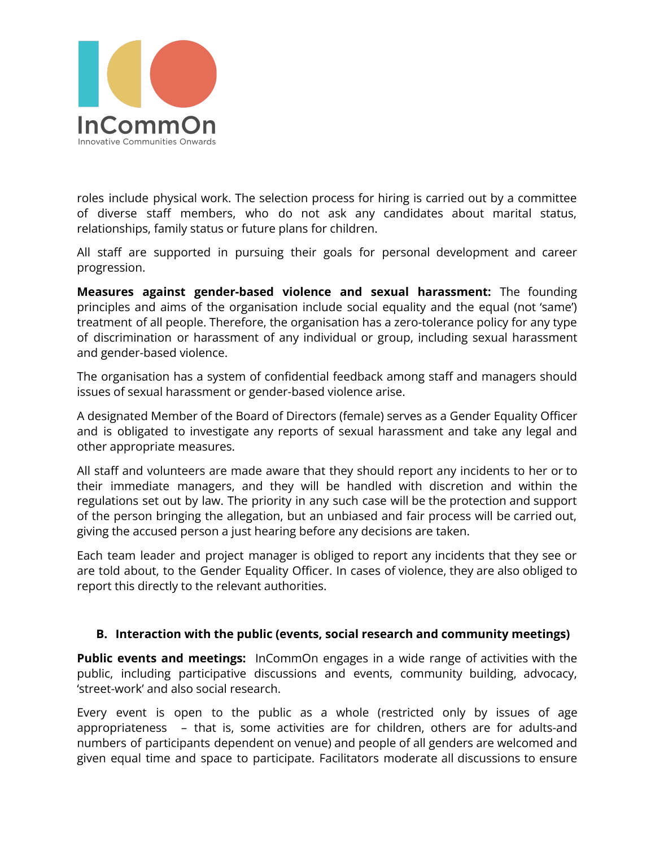

roles include physical work. The selection process for hiring is carried out by a committee of diverse staff members, who do not ask any candidates about marital status, relationships, family status or future plans for children.

All staff are supported in pursuing their goals for personal development and career progression.

**Measures against gender-based violence and sexual harassment:** The founding principles and aims of the organisation include social equality and the equal (not 'same') treatment of all people. Therefore, the organisation has a zero-tolerance policy for any type of discrimination or harassment of any individual or group, including sexual harassment and gender-based violence.

The organisation has a system of confidential feedback among staff and managers should issues of sexual harassment or gender-based violence arise.

A designated Member of the Board of Directors (female) serves as a Gender Equality Officer and is obligated to investigate any reports of sexual harassment and take any legal and other appropriate measures.

All staff and volunteers are made aware that they should report any incidents to her or to their immediate managers, and they will be handled with discretion and within the regulations set out by law. The priority in any such case will be the protection and support of the person bringing the allegation, but an unbiased and fair process will be carried out, giving the accused person a just hearing before any decisions are taken.

Each team leader and project manager is obliged to report any incidents that they see or are told about, to the Gender Equality Officer. In cases of violence, they are also obliged to report this directly to the relevant authorities.

#### **B. Interaction with the public (events, social research and community meetings)**

**Public events and meetings:** InCommOn engages in a wide range of activities with the public, including participative discussions and events, community building, advocacy, 'street-work' and also social research.

Every event is open to the public as a whole (restricted only by issues of age appropriateness – that is, some activities are for children, others are for adults-and numbers of participants dependent on venue) and people of all genders are welcomed and given equal time and space to participate. Facilitators moderate all discussions to ensure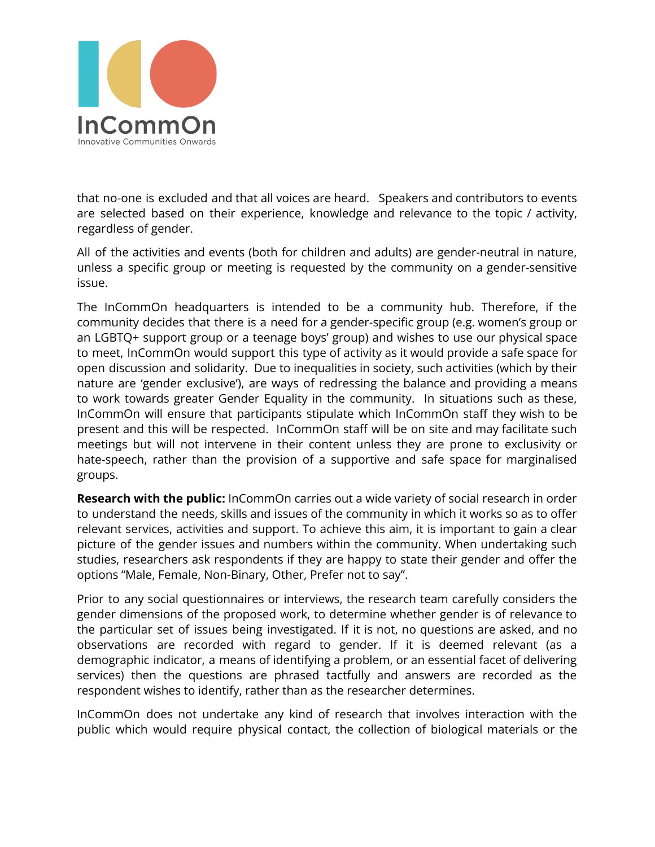

that no-one is excluded and that all voices are heard. Speakers and contributors to events are selected based on their experience, knowledge and relevance to the topic / activity, regardless of gender.

All of the activities and events (both for children and adults) are gender-neutral in nature, unless a specific group or meeting is requested by the community on a gender-sensitive issue.

The InCommOn headquarters is intended to be a community hub. Therefore, if the community decides that there is a need for a gender-specific group (e.g. women's group or an LGBTQ+ support group or a teenage boys' group) and wishes to use our physical space to meet, InCommOn would support this type of activity as it would provide a safe space for open discussion and solidarity. Due to inequalities in society, such activities (which by their nature are 'gender exclusive'), are ways of redressing the balance and providing a means to work towards greater Gender Equality in the community. In situations such as these, InCommOn will ensure that participants stipulate which InCommOn staff they wish to be present and this will be respected. InCommOn staff will be on site and may facilitate such meetings but will not intervene in their content unless they are prone to exclusivity or hate-speech, rather than the provision of a supportive and safe space for marginalised groups.

**Research with the public:** InCommOn carries out a wide variety of social research in order to understand the needs, skills and issues of the community in which it works so as to offer relevant services, activities and support. To achieve this aim, it is important to gain a clear picture of the gender issues and numbers within the community. When undertaking such studies, researchers ask respondents if they are happy to state their gender and offer the options "Male, Female, Non-Binary, Other, Prefer not to say".

Prior to any social questionnaires or interviews, the research team carefully considers the gender dimensions of the proposed work, to determine whether gender is of relevance to the particular set of issues being investigated. If it is not, no questions are asked, and no observations are recorded with regard to gender. If it is deemed relevant (as a demographic indicator, a means of identifying a problem, or an essential facet of delivering services) then the questions are phrased tactfully and answers are recorded as the respondent wishes to identify, rather than as the researcher determines.

InCommOn does not undertake any kind of research that involves interaction with the public which would require physical contact, the collection of biological materials or the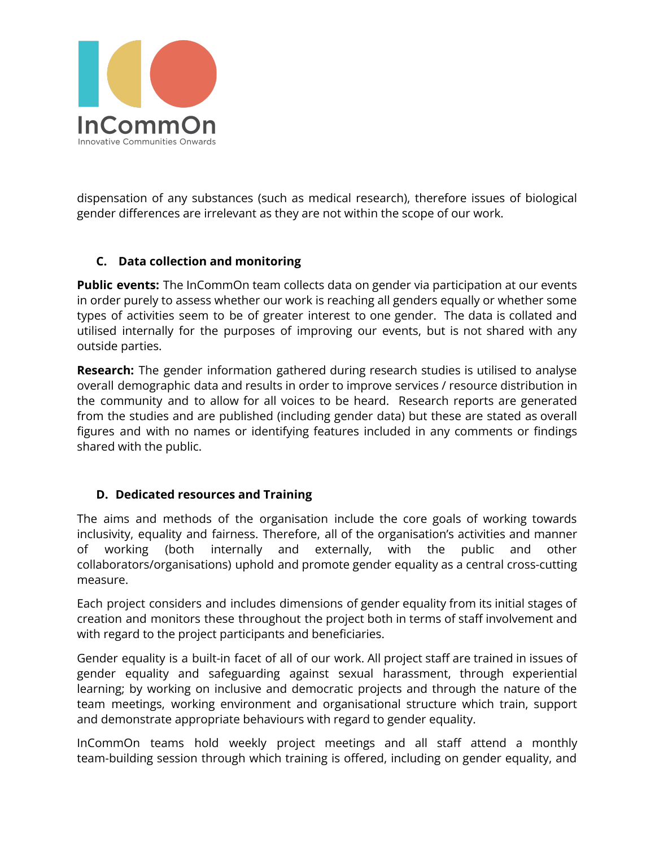

dispensation of any substances (such as medical research), therefore issues of biological gender differences are irrelevant as they are not within the scope of our work.

## **C. Data collection and monitoring**

**Public events:** The InCommOn team collects data on gender via participation at our events in order purely to assess whether our work is reaching all genders equally or whether some types of activities seem to be of greater interest to one gender. The data is collated and utilised internally for the purposes of improving our events, but is not shared with any outside parties.

**Research:** The gender information gathered during research studies is utilised to analyse overall demographic data and results in order to improve services / resource distribution in the community and to allow for all voices to be heard. Research reports are generated from the studies and are published (including gender data) but these are stated as overall figures and with no names or identifying features included in any comments or findings shared with the public.

## **D. Dedicated resources and Training**

The aims and methods of the organisation include the core goals of working towards inclusivity, equality and fairness. Therefore, all of the organisation's activities and manner of working (both internally and externally, with the public and other collaborators/organisations) uphold and promote gender equality as a central cross-cutting measure.

Each project considers and includes dimensions of gender equality from its initial stages of creation and monitors these throughout the project both in terms of staff involvement and with regard to the project participants and beneficiaries.

Gender equality is a built-in facet of all of our work. All project staff are trained in issues of gender equality and safeguarding against sexual harassment, through experiential learning; by working on inclusive and democratic projects and through the nature of the team meetings, working environment and organisational structure which train, support and demonstrate appropriate behaviours with regard to gender equality.

InCommOn teams hold weekly project meetings and all staff attend a monthly team-building session through which training is offered, including on gender equality, and